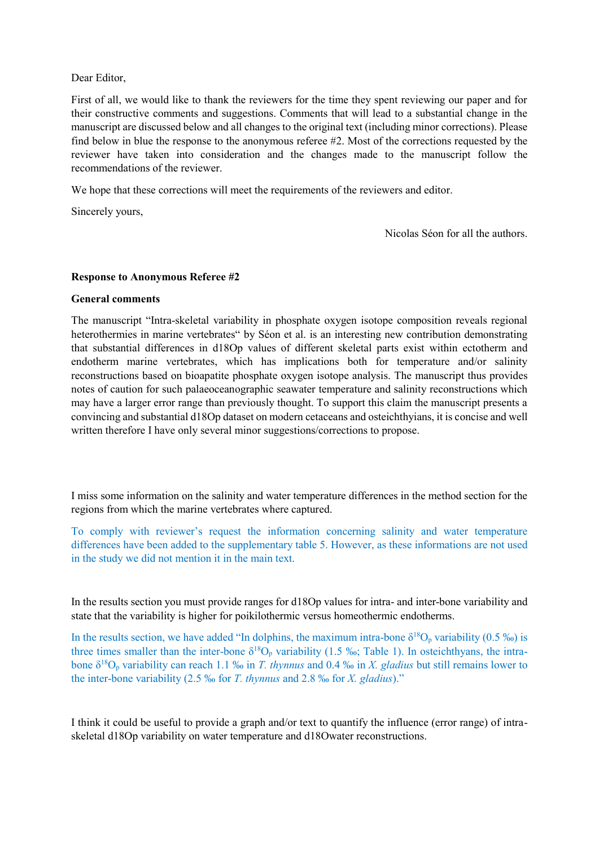## Dear Editor,

First of all, we would like to thank the reviewers for the time they spent reviewing our paper and for their constructive comments and suggestions. Comments that will lead to a substantial change in the manuscript are discussed below and all changes to the original text (including minor corrections). Please find below in blue the response to the anonymous referee #2. Most of the corrections requested by the reviewer have taken into consideration and the changes made to the manuscript follow the recommendations of the reviewer.

We hope that these corrections will meet the requirements of the reviewers and editor.

Sincerely yours,

Nicolas Séon for all the authors.

## **Response to Anonymous Referee #2**

## **General comments**

The manuscript "Intra-skeletal variability in phosphate oxygen isotope composition reveals regional heterothermies in marine vertebrates" by Séon et al. is an interesting new contribution demonstrating that substantial differences in d18Op values of different skeletal parts exist within ectotherm and endotherm marine vertebrates, which has implications both for temperature and/or salinity reconstructions based on bioapatite phosphate oxygen isotope analysis. The manuscript thus provides notes of caution for such palaeoceanographic seawater temperature and salinity reconstructions which may have a larger error range than previously thought. To support this claim the manuscript presents a convincing and substantial d18Op dataset on modern cetaceans and osteichthyians, it is concise and well written therefore I have only several minor suggestions/corrections to propose.

I miss some information on the salinity and water temperature differences in the method section for the regions from which the marine vertebrates where captured.

To comply with reviewer's request the information concerning salinity and water temperature differences have been added to the supplementary table 5. However, as these informations are not used in the study we did not mention it in the main text.

In the results section you must provide ranges for d18Op values for intra- and inter-bone variability and state that the variability is higher for poikilothermic versus homeothermic endotherms.

In the results section, we have added "In dolphins, the maximum intra-bone  $\delta^{18}O_p$  variability (0.5 ‰) is three times smaller than the inter-bone  $\delta^{18}O_p$  variability (1.5 ‰; Table 1). In osteichthyans, the intrabone δ<sup>18</sup>O<sup>p</sup> variability can reach 1.1 ‰ in *T. thynnus* and 0.4 ‰ in *X. gladius* but still remains lower to the inter-bone variability (2.5 ‰ for *T. thynnus* and 2.8 ‰ for *X. gladius*)."

I think it could be useful to provide a graph and/or text to quantify the influence (error range) of intraskeletal d18Op variability on water temperature and d18Owater reconstructions.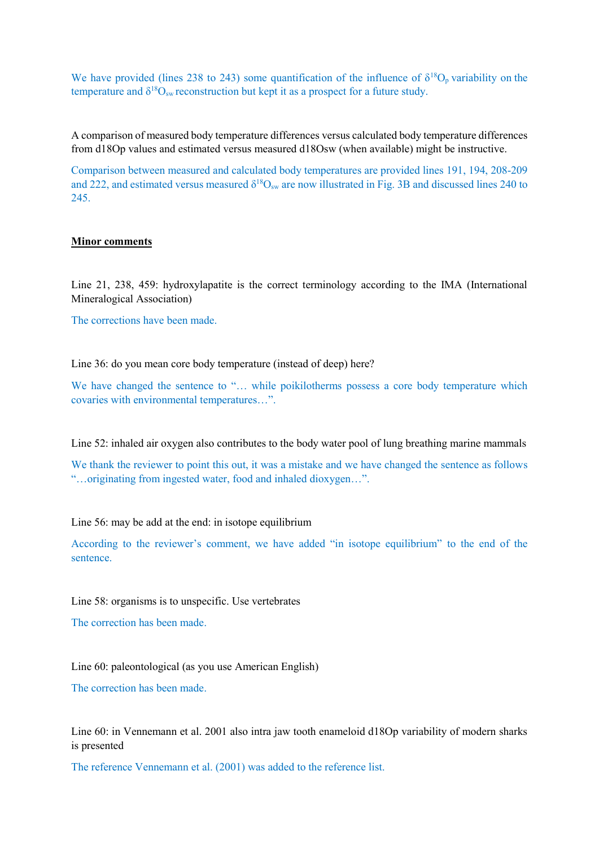We have provided (lines 238 to 243) some quantification of the influence of  $\delta^{18}O_p$  variability on the temperature and  $\delta^{18}O_{sw}$  reconstruction but kept it as a prospect for a future study.

A comparison of measured body temperature differences versus calculated body temperature differences from d18Op values and estimated versus measured d18Osw (when available) might be instructive.

Comparison between measured and calculated body temperatures are provided lines 191, 194, 208-209 and 222, and estimated versus measured  $\delta^{18}O_{sw}$  are now illustrated in Fig. 3B and discussed lines 240 to 245.

#### **Minor comments**

Line 21, 238, 459: hydroxylapatite is the correct terminology according to the IMA (International Mineralogical Association)

The corrections have been made.

Line 36: do you mean core body temperature (instead of deep) here?

We have changed the sentence to "... while poikilotherms possess a core body temperature which covaries with environmental temperatures…".

Line 52: inhaled air oxygen also contributes to the body water pool of lung breathing marine mammals

We thank the reviewer to point this out, it was a mistake and we have changed the sentence as follows "…originating from ingested water, food and inhaled dioxygen…".

Line 56: may be add at the end: in isotope equilibrium

According to the reviewer's comment, we have added "in isotope equilibrium" to the end of the sentence.

Line 58: organisms is to unspecific. Use vertebrates

The correction has been made.

Line 60: paleontological (as you use American English)

The correction has been made.

Line 60: in Vennemann et al. 2001 also intra jaw tooth enameloid d18Op variability of modern sharks is presented

The reference Vennemann et al. (2001) was added to the reference list.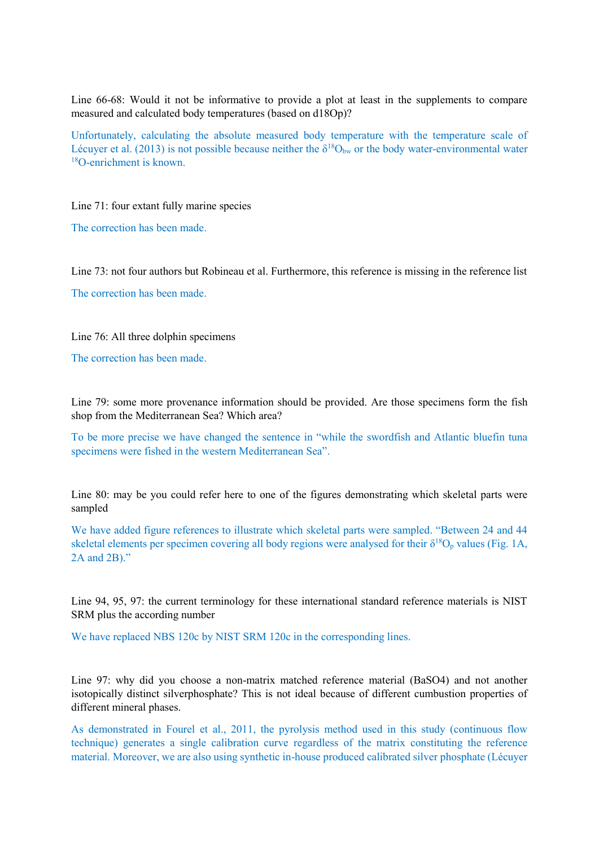Line 66-68: Would it not be informative to provide a plot at least in the supplements to compare measured and calculated body temperatures (based on d18Op)?

Unfortunately, calculating the absolute measured body temperature with the temperature scale of Lécuyer et al. (2013) is not possible because neither the  $\delta^{18}O_{bw}$  or the body water-environmental water <sup>18</sup>O-enrichment is known.

Line 71: four extant fully marine species

The correction has been made.

Line 73: not four authors but Robineau et al. Furthermore, this reference is missing in the reference list

The correction has been made.

Line 76: All three dolphin specimens

The correction has been made.

Line 79: some more provenance information should be provided. Are those specimens form the fish shop from the Mediterranean Sea? Which area?

To be more precise we have changed the sentence in "while the swordfish and Atlantic bluefin tuna specimens were fished in the western Mediterranean Sea".

Line 80: may be you could refer here to one of the figures demonstrating which skeletal parts were sampled

We have added figure references to illustrate which skeletal parts were sampled. "Between 24 and 44 skeletal elements per specimen covering all body regions were analysed for their  $\delta^{18}O_p$  values (Fig. 1A, 2A and 2B)."

Line 94, 95, 97: the current terminology for these international standard reference materials is NIST SRM plus the according number

We have replaced NBS 120c by NIST SRM 120c in the corresponding lines.

Line 97: why did you choose a non-matrix matched reference material (BaSO4) and not another isotopically distinct silverphosphate? This is not ideal because of different cumbustion properties of different mineral phases.

As demonstrated in Fourel et al., 2011, the pyrolysis method used in this study (continuous flow technique) generates a single calibration curve regardless of the matrix constituting the reference material. Moreover, we are also using synthetic in-house produced calibrated silver phosphate (Lécuyer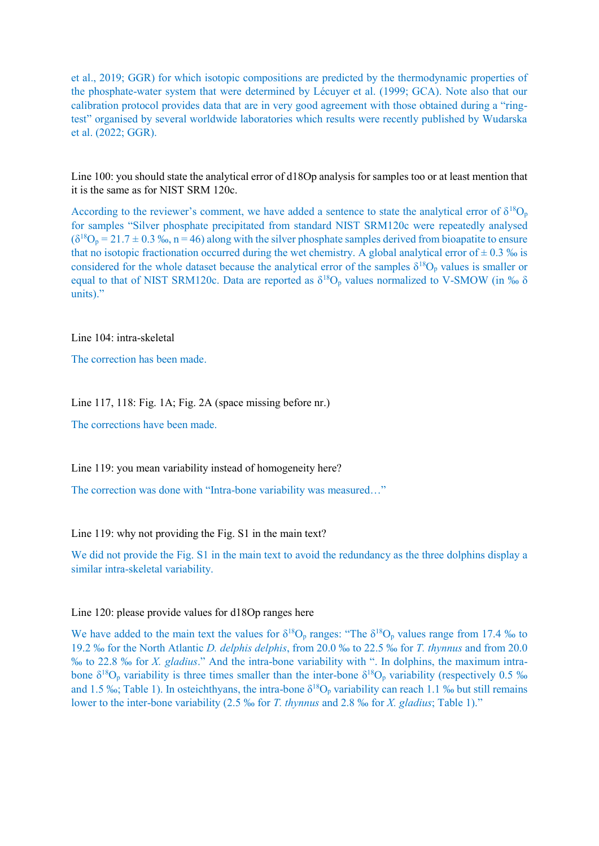et al., 2019; GGR) for which isotopic compositions are predicted by the thermodynamic properties of the phosphate-water system that were determined by Lécuyer et al. (1999; GCA). Note also that our calibration protocol provides data that are in very good agreement with those obtained during a "ringtest" organised by several worldwide laboratories which results were recently published by Wudarska et al. (2022; GGR).

Line 100: you should state the analytical error of d18Op analysis for samples too or at least mention that it is the same as for NIST SRM 120c.

According to the reviewer's comment, we have added a sentence to state the analytical error of  $\delta^{18}O_p$ for samples "Silver phosphate precipitated from standard NIST SRM120c were repeatedly analysed  $(\delta^{18}O_p = 21.7 \pm 0.3 \text{ %}$ , n = 46) along with the silver phosphate samples derived from bioapatite to ensure that no isotopic fractionation occurred during the wet chemistry. A global analytical error of  $\pm$  0.3 ‰ is considered for the whole dataset because the analytical error of the samples  $\delta^{18}O_p$  values is smaller or equal to that of NIST SRM120c. Data are reported as  $\delta^{18}O_p$  values normalized to V-SMOW (in ‰  $\delta$ units)."

Line 104: intra-skeletal

The correction has been made.

Line 117, 118: Fig. 1A; Fig. 2A (space missing before nr.)

The corrections have been made.

Line 119: you mean variability instead of homogeneity here?

The correction was done with "Intra-bone variability was measured…"

Line 119: why not providing the Fig. S1 in the main text?

We did not provide the Fig. S1 in the main text to avoid the redundancy as the three dolphins display a similar intra-skeletal variability.

Line 120: please provide values for d18Op ranges here

We have added to the main text the values for  $\delta^{18}O_p$  ranges: "The  $\delta^{18}O_p$  values range from 17.4 ‰ to 19.2 ‰ for the North Atlantic *D. delphis delphis*, from 20.0 ‰ to 22.5 ‰ for *T. thynnus* and from 20.0 ‰ to 22.8 ‰ for *X. gladius*." And the intra-bone variability with ". In dolphins, the maximum intrabone  $\delta^{18}O_p$  variability is three times smaller than the inter-bone  $\delta^{18}O_p$  variability (respectively 0.5 ‰ and 1.5 ‰; Table 1). In osteichthyans, the intra-bone  $\delta^{18}O_p$  variability can reach 1.1 ‰ but still remains lower to the inter-bone variability (2.5 ‰ for *T. thynnus* and 2.8 ‰ for *X. gladius*; Table 1)."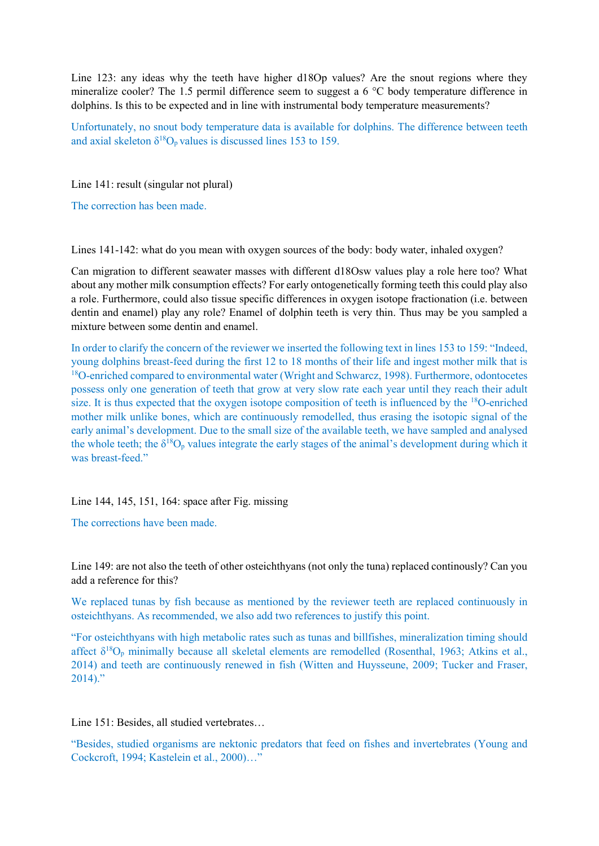Line 123: any ideas why the teeth have higher d18Op values? Are the snout regions where they mineralize cooler? The 1.5 permil difference seem to suggest a 6 °C body temperature difference in dolphins. Is this to be expected and in line with instrumental body temperature measurements?

Unfortunately, no snout body temperature data is available for dolphins. The difference between teeth and axial skeleton  $\delta^{18}O_p$  values is discussed lines 153 to 159.

Line 141: result (singular not plural)

The correction has been made.

Lines 141-142: what do you mean with oxygen sources of the body: body water, inhaled oxygen?

Can migration to different seawater masses with different d18Osw values play a role here too? What about any mother milk consumption effects? For early ontogenetically forming teeth this could play also a role. Furthermore, could also tissue specific differences in oxygen isotope fractionation (i.e. between dentin and enamel) play any role? Enamel of dolphin teeth is very thin. Thus may be you sampled a mixture between some dentin and enamel.

In order to clarify the concern of the reviewer we inserted the following text in lines 153 to 159: "Indeed, young dolphins breast-feed during the first 12 to 18 months of their life and ingest mother milk that is <sup>18</sup>O-enriched compared to environmental water (Wright and Schwarcz, 1998). Furthermore, odontocetes possess only one generation of teeth that grow at very slow rate each year until they reach their adult size. It is thus expected that the oxygen isotope composition of teeth is influenced by the <sup>18</sup>O-enriched mother milk unlike bones, which are continuously remodelled, thus erasing the isotopic signal of the early animal's development. Due to the small size of the available teeth, we have sampled and analysed the whole teeth; the  $\delta^{18}O_p$  values integrate the early stages of the animal's development during which it was breast-feed."

Line 144, 145, 151, 164: space after Fig. missing

The corrections have been made.

Line 149: are not also the teeth of other osteichthyans (not only the tuna) replaced continously? Can you add a reference for this?

We replaced tunas by fish because as mentioned by the reviewer teeth are replaced continuously in osteichthyans. As recommended, we also add two references to justify this point.

"For osteichthyans with high metabolic rates such as tunas and billfishes, mineralization timing should affect  $\delta^{18}O_p$  minimally because all skeletal elements are remodelled (Rosenthal, 1963; Atkins et al., 2014) and teeth are continuously renewed in fish (Witten and Huysseune, 2009; Tucker and Fraser,  $2014$ ."

Line 151: Besides, all studied vertebrates…

"Besides, studied organisms are nektonic predators that feed on fishes and invertebrates (Young and Cockcroft, 1994; Kastelein et al., 2000)…"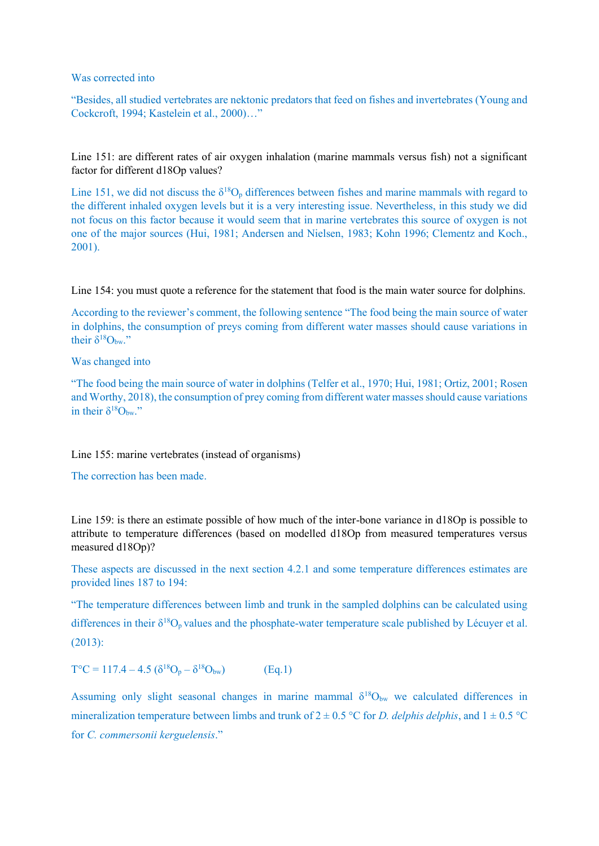Was corrected into

"Besides, all studied vertebrates are nektonic predators that feed on fishes and invertebrates (Young and Cockcroft, 1994; Kastelein et al., 2000)…"

Line 151: are different rates of air oxygen inhalation (marine mammals versus fish) not a significant factor for different d18Op values?

Line 151, we did not discuss the  $\delta^{18}O_p$  differences between fishes and marine mammals with regard to the different inhaled oxygen levels but it is a very interesting issue. Nevertheless, in this study we did not focus on this factor because it would seem that in marine vertebrates this source of oxygen is not one of the major sources (Hui, 1981; Andersen and Nielsen, 1983; Kohn 1996; Clementz and Koch., 2001).

Line 154: you must quote a reference for the statement that food is the main water source for dolphins.

According to the reviewer's comment, the following sentence "The food being the main source of water in dolphins, the consumption of preys coming from different water masses should cause variations in their  $\delta^{18}O_{bw}$ ."

Was changed into

"The food being the main source of water in dolphins (Telfer et al., 1970; Hui, 1981; Ortiz, 2001; Rosen and Worthy, 2018), the consumption of prey coming from different water masses should cause variations in their  $\delta^{18}O_{bw}$ ."

Line 155: marine vertebrates (instead of organisms)

The correction has been made.

Line 159: is there an estimate possible of how much of the inter-bone variance in d18Op is possible to attribute to temperature differences (based on modelled d18Op from measured temperatures versus measured d18Op)?

These aspects are discussed in the next section 4.2.1 and some temperature differences estimates are provided lines 187 to 194:

"The temperature differences between limb and trunk in the sampled dolphins can be calculated using differences in their  $\delta^{18}O_p$  values and the phosphate-water temperature scale published by Lécuver et al. (2013):

 $T^{\circ}C = 117.4 - 4.5 \left( \delta^{18}O_p - \delta \right)$  $(Eq.1)$ 

Assuming only slight seasonal changes in marine mammal  $\delta^{18}O_{bw}$  we calculated differences in mineralization temperature between limbs and trunk of  $2 \pm 0.5$  °C for *D. delphis delphis*, and  $1 \pm 0.5$  °C for *C. commersonii kerguelensis*."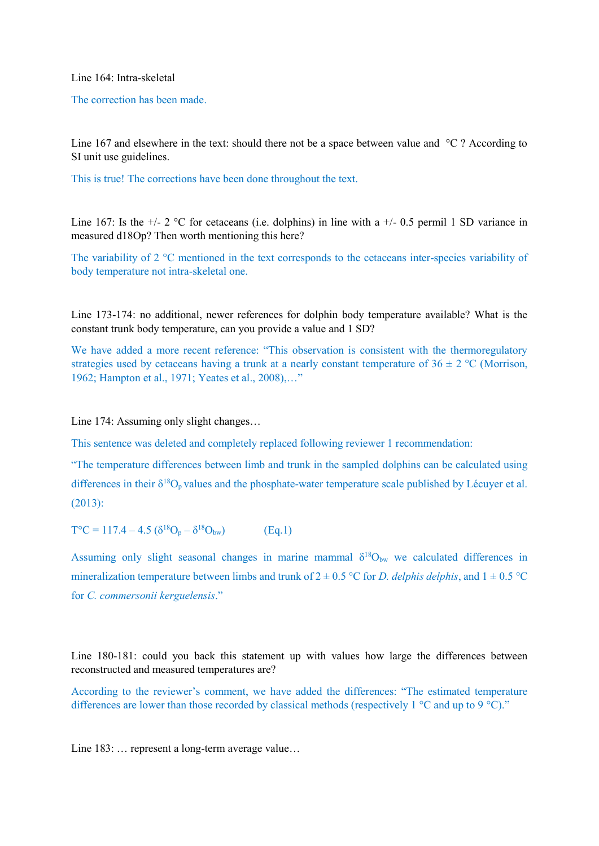Line 164: Intra-skeletal

The correction has been made.

Line 167 and elsewhere in the text: should there not be a space between value and  $\degree$ C ? According to SI unit use guidelines.

This is true! The corrections have been done throughout the text.

Line 167: Is the  $+/- 2$  °C for cetaceans (i.e. dolphins) in line with a  $+/- 0.5$  permil 1 SD variance in measured d18Op? Then worth mentioning this here?

The variability of 2 °C mentioned in the text corresponds to the cetaceans inter-species variability of body temperature not intra-skeletal one.

Line 173-174: no additional, newer references for dolphin body temperature available? What is the constant trunk body temperature, can you provide a value and 1 SD?

We have added a more recent reference: "This observation is consistent with the thermoregulatory strategies used by cetaceans having a trunk at a nearly constant temperature of  $36 \pm 2$  °C (Morrison, 1962; Hampton et al., 1971; Yeates et al., 2008),…"

Line 174: Assuming only slight changes…

This sentence was deleted and completely replaced following reviewer 1 recommendation:

"The temperature differences between limb and trunk in the sampled dolphins can be calculated using differences in their  $\delta^{18}O_p$  values and the phosphate-water temperature scale published by Lécuyer et al. (2013):

 $T^{\circ}C = 117.4 - 4.5 \left( \delta^{18}O_p - \delta^{18}O_{bw} \right)$  (Eq.1)

Assuming only slight seasonal changes in marine mammal  $\delta^{18}O_{bw}$  we calculated differences in mineralization temperature between limbs and trunk of  $2 \pm 0.5$  °C for *D. delphis delphis*, and  $1 \pm 0.5$  °C for *C. commersonii kerguelensis*."

Line 180-181: could you back this statement up with values how large the differences between reconstructed and measured temperatures are?

According to the reviewer's comment, we have added the differences: "The estimated temperature differences are lower than those recorded by classical methods (respectively 1  $\degree$ C and up to 9  $\degree$ C)."

Line 183: ... represent a long-term average value...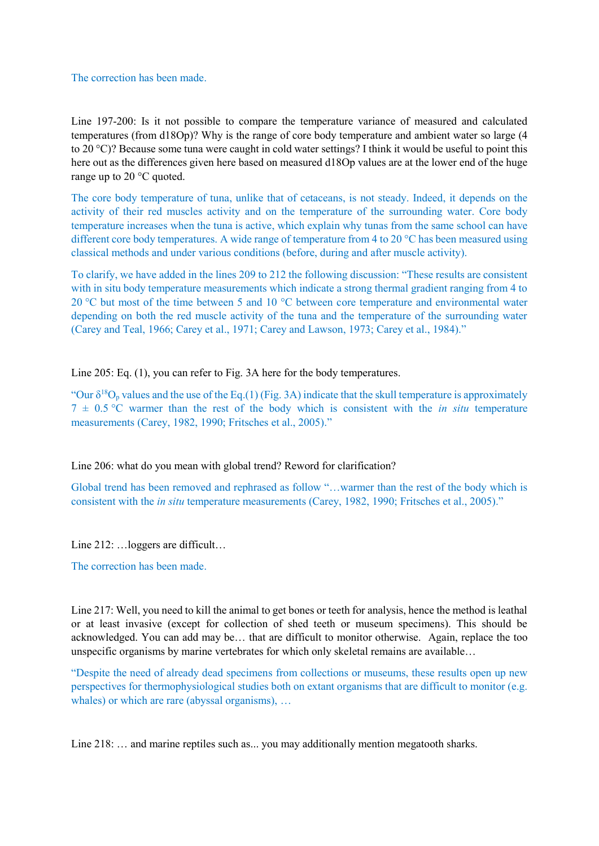The correction has been made.

Line 197-200: Is it not possible to compare the temperature variance of measured and calculated temperatures (from d18Op)? Why is the range of core body temperature and ambient water so large (4 to 20 °C)? Because some tuna were caught in cold water settings? I think it would be useful to point this here out as the differences given here based on measured d18Op values are at the lower end of the huge range up to 20 °C quoted.

The core body temperature of tuna, unlike that of cetaceans, is not steady. Indeed, it depends on the activity of their red muscles activity and on the temperature of the surrounding water. Core body temperature increases when the tuna is active, which explain why tunas from the same school can have different core body temperatures. A wide range of temperature from 4 to 20 °C has been measured using classical methods and under various conditions (before, during and after muscle activity).

To clarify, we have added in the lines 209 to 212 the following discussion: "These results are consistent with in situ body temperature measurements which indicate a strong thermal gradient ranging from 4 to 20 °C but most of the time between 5 and 10 °C between core temperature and environmental water depending on both the red muscle activity of the tuna and the temperature of the surrounding water (Carey and Teal, 1966; Carey et al., 1971; Carey and Lawson, 1973; Carey et al., 1984)."

Line 205: Eq. (1), you can refer to Fig. 3A here for the body temperatures.

"Our  $\delta^{18}O_p$  values and the use of the Eq.(1) (Fig. 3A) indicate that the skull temperature is approximately  $7 \pm 0.5$  °C warmer than the rest of the body which is consistent with the *in situ* temperature measurements (Carey, 1982, 1990; Fritsches et al., 2005)."

Line 206: what do you mean with global trend? Reword for clarification?

Global trend has been removed and rephrased as follow "…warmer than the rest of the body which is consistent with the *in situ* temperature measurements (Carey, 1982, 1990; Fritsches et al., 2005)."

Line 212: …loggers are difficult…

The correction has been made.

Line 217: Well, you need to kill the animal to get bones or teeth for analysis, hence the method is leathal or at least invasive (except for collection of shed teeth or museum specimens). This should be acknowledged. You can add may be… that are difficult to monitor otherwise. Again, replace the too unspecific organisms by marine vertebrates for which only skeletal remains are available…

"Despite the need of already dead specimens from collections or museums, these results open up new perspectives for thermophysiological studies both on extant organisms that are difficult to monitor (e.g. whales) or which are rare (abyssal organisms), ...

Line 218: ... and marine reptiles such as... you may additionally mention megatooth sharks.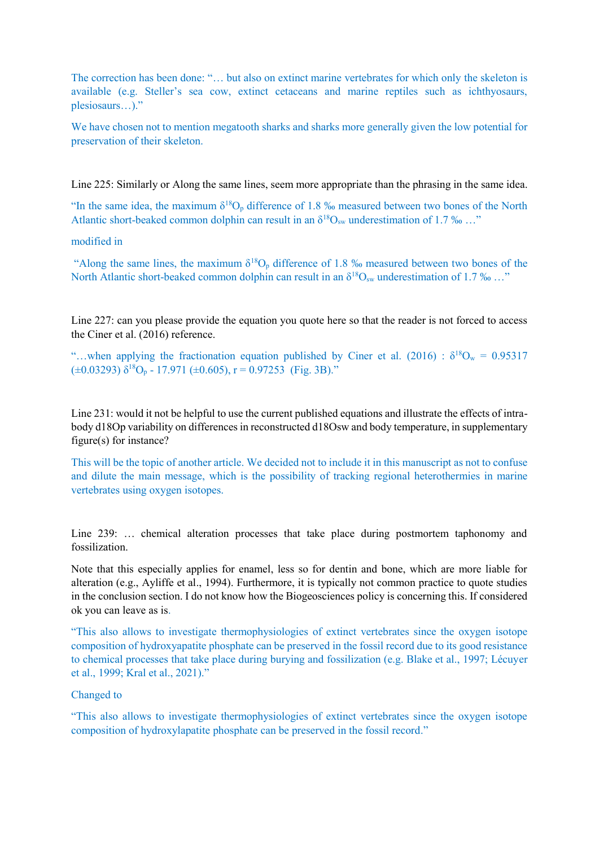The correction has been done: "… but also on extinct marine vertebrates for which only the skeleton is available (e.g. Steller's sea cow, extinct cetaceans and marine reptiles such as ichthyosaurs, plesiosaurs…)."

We have chosen not to mention megatooth sharks and sharks more generally given the low potential for preservation of their skeleton.

Line 225: Similarly or Along the same lines, seem more appropriate than the phrasing in the same idea.

"In the same idea, the maximum  $\delta^{18}O_p$  difference of 1.8 ‰ measured between two bones of the North Atlantic short-beaked common dolphin can result in an  $\delta^{18}O_{sw}$  underestimation of 1.7 ‰ ..."

#### modified in

"Along the same lines, the maximum  $\delta^{18}O_p$  difference of 1.8 ‰ measured between two bones of the North Atlantic short-beaked common dolphin can result in an  $\delta^{18}O_{sw}$  underestimation of 1.7 ‰ ..."

Line 227: can you please provide the equation you quote here so that the reader is not forced to access the Ciner et al. (2016) reference.

"...when applying the fractionation equation published by Ciner et al. (2016) :  $\delta^{18}O_w = 0.95317$  $(\pm 0.03293)$   $\delta^{18}O_p$  - 17.971  $(\pm 0.605)$ , r = 0.97253 (Fig. 3B)."

Line 231: would it not be helpful to use the current published equations and illustrate the effects of intrabody d18Op variability on differences in reconstructed d18Osw and body temperature, in supplementary figure(s) for instance?

This will be the topic of another article. We decided not to include it in this manuscript as not to confuse and dilute the main message, which is the possibility of tracking regional heterothermies in marine vertebrates using oxygen isotopes.

Line 239: … chemical alteration processes that take place during postmortem taphonomy and fossilization.

Note that this especially applies for enamel, less so for dentin and bone, which are more liable for alteration (e.g., Ayliffe et al., 1994). Furthermore, it is typically not common practice to quote studies in the conclusion section. I do not know how the Biogeosciences policy is concerning this. If considered ok you can leave as is.

"This also allows to investigate thermophysiologies of extinct vertebrates since the oxygen isotope composition of hydroxyapatite phosphate can be preserved in the fossil record due to its good resistance to chemical processes that take place during burying and fossilization (e.g. Blake et al., 1997; Lécuyer et al., 1999; Kral et al., 2021)."

## Changed to

"This also allows to investigate thermophysiologies of extinct vertebrates since the oxygen isotope composition of hydroxylapatite phosphate can be preserved in the fossil record."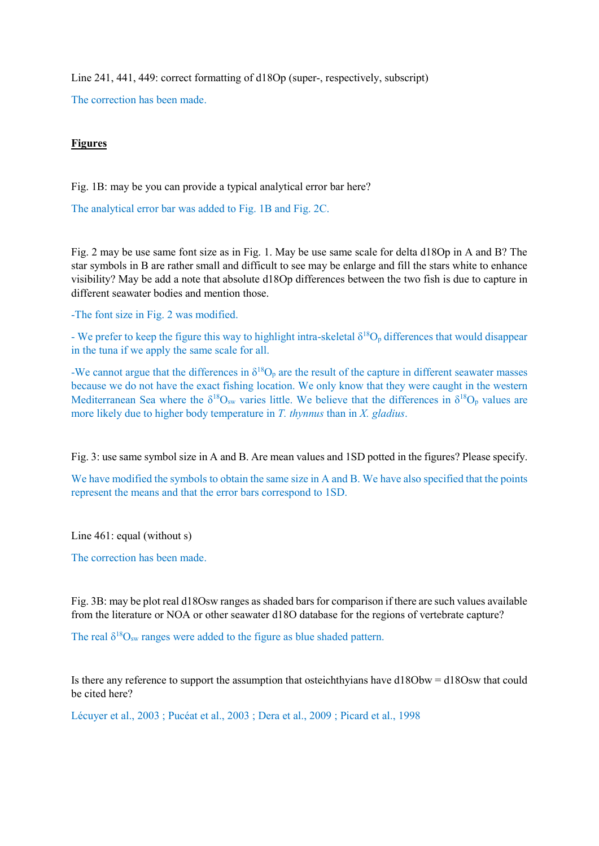Line 241, 441, 449: correct formatting of d18Op (super-, respectively, subscript)

The correction has been made.

# **Figures**

Fig. 1B: may be you can provide a typical analytical error bar here?

The analytical error bar was added to Fig. 1B and Fig. 2C.

Fig. 2 may be use same font size as in Fig. 1. May be use same scale for delta d18Op in A and B? The star symbols in B are rather small and difficult to see may be enlarge and fill the stars white to enhance visibility? May be add a note that absolute d18Op differences between the two fish is due to capture in different seawater bodies and mention those.

-The font size in Fig. 2 was modified.

- We prefer to keep the figure this way to highlight intra-skeletal  $\delta^{18}O_p$  differences that would disappear in the tuna if we apply the same scale for all.

-We cannot argue that the differences in  $\delta^{18}O_p$  are the result of the capture in different seawater masses because we do not have the exact fishing location. We only know that they were caught in the western Mediterranean Sea where the  $\delta^{18}O_{sw}$  varies little. We believe that the differences in  $\delta^{18}O_p$  values are more likely due to higher body temperature in *T. thynnus* than in *X. gladius*.

Fig. 3: use same symbol size in A and B. Are mean values and 1SD potted in the figures? Please specify.

We have modified the symbols to obtain the same size in A and B. We have also specified that the points represent the means and that the error bars correspond to 1SD.

Line 461: equal (without s)

The correction has been made.

Fig. 3B: may be plot real d18Osw ranges as shaded bars for comparison if there are such values available from the literature or NOA or other seawater d18O database for the regions of vertebrate capture?

The real  $\delta^{18}O_{sw}$  ranges were added to the figure as blue shaded pattern.

Is there any reference to support the assumption that osteichthyians have d18Obw = d18Osw that could be cited here?

Lécuyer et al., 2003 ; Pucéat et al., 2003 ; Dera et al., 2009 ; Picard et al., 1998